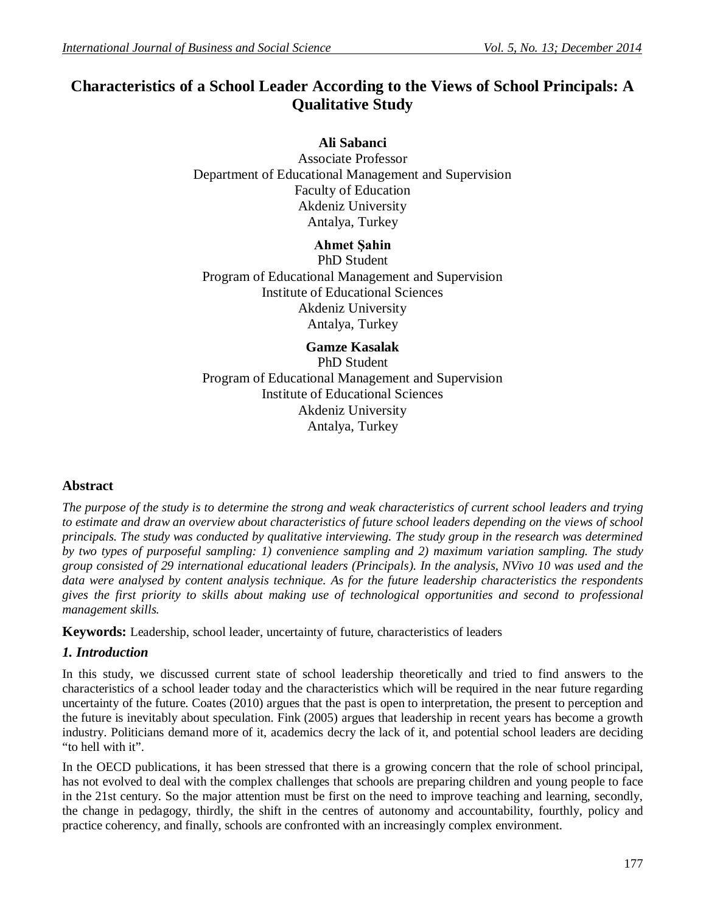# **Characteristics of a School Leader According to the Views of School Principals: A Qualitative Study**

**Ali Sabanci** Associate Professor Department of Educational Management and Supervision Faculty of Education Akdeniz University Antalya, Turkey

**Ahmet Şahin** PhD Student Program of Educational Management and Supervision Institute of Educational Sciences Akdeniz University Antalya, Turkey

**Gamze Kasalak** PhD Student Program of Educational Management and Supervision Institute of Educational Sciences Akdeniz University Antalya, Turkey

## **Abstract**

*The purpose of the study is to determine the strong and weak characteristics of current school leaders and trying to estimate and draw an overview about characteristics of future school leaders depending on the views of school principals. The study was conducted by qualitative interviewing. The study group in the research was determined by two types of purposeful sampling: 1) convenience sampling and 2) maximum variation sampling. The study group consisted of 29 international educational leaders (Principals). In the analysis, NVivo 10 was used and the data were analysed by content analysis technique. As for the future leadership characteristics the respondents gives the first priority to skills about making use of technological opportunities and second to professional management skills.* 

**Keywords:** Leadership, school leader, uncertainty of future, characteristics of leaders

## *1. Introduction*

In this study, we discussed current state of school leadership theoretically and tried to find answers to the characteristics of a school leader today and the characteristics which will be required in the near future regarding uncertainty of the future. Coates (2010) argues that the past is open to interpretation, the present to perception and the future is inevitably about speculation. Fink (2005) argues that leadership in recent years has become a growth industry. Politicians demand more of it, academics decry the lack of it, and potential school leaders are deciding "to hell with it".

In the OECD publications, it has been stressed that there is a growing concern that the role of school principal, has not evolved to deal with the complex challenges that schools are preparing children and young people to face in the 21st century. So the major attention must be first on the need to improve teaching and learning, secondly, the change in pedagogy, thirdly, the shift in the centres of autonomy and accountability, fourthly, policy and practice coherency, and finally, schools are confronted with an increasingly complex environment.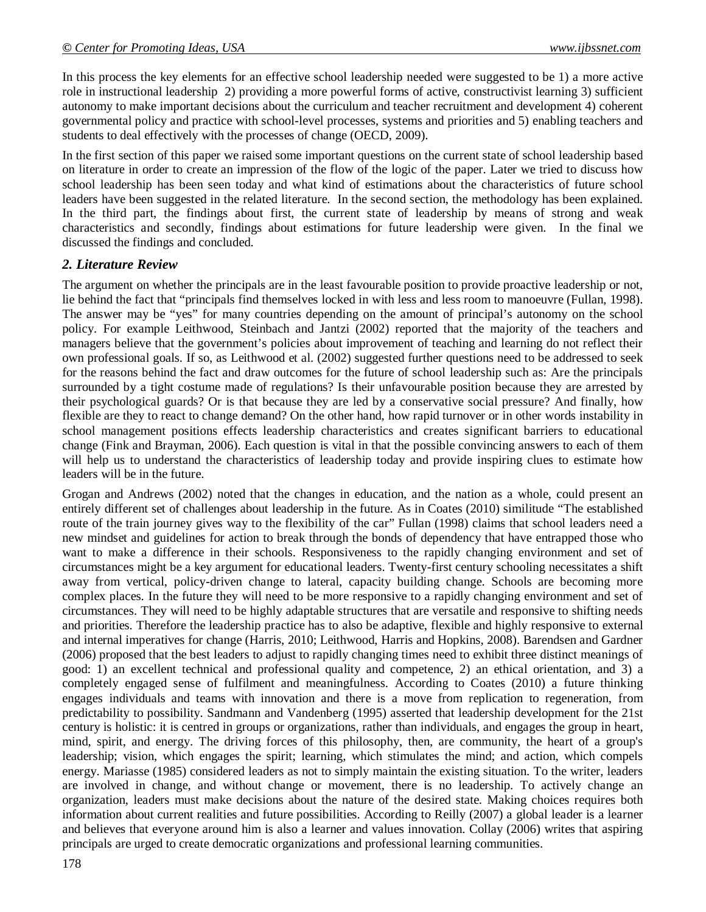In this process the key elements for an effective school leadership needed were suggested to be 1) a more active role in instructional leadership 2) providing a more powerful forms of active, constructivist learning 3) sufficient autonomy to make important decisions about the curriculum and teacher recruitment and development 4) coherent governmental policy and practice with school-level processes, systems and priorities and 5) enabling teachers and students to deal effectively with the processes of change (OECD, 2009).

In the first section of this paper we raised some important questions on the current state of school leadership based on literature in order to create an impression of the flow of the logic of the paper. Later we tried to discuss how school leadership has been seen today and what kind of estimations about the characteristics of future school leaders have been suggested in the related literature. In the second section, the methodology has been explained. In the third part, the findings about first, the current state of leadership by means of strong and weak characteristics and secondly, findings about estimations for future leadership were given. In the final we discussed the findings and concluded.

### *2. Literature Review*

The argument on whether the principals are in the least favourable position to provide proactive leadership or not, lie behind the fact that "principals find themselves locked in with less and less room to manoeuvre (Fullan, 1998). The answer may be "yes" for many countries depending on the amount of principal's autonomy on the school policy. For example Leithwood, Steinbach and Jantzi (2002) reported that the majority of the teachers and managers believe that the government's policies about improvement of teaching and learning do not reflect their own professional goals. If so, as Leithwood et al. (2002) suggested further questions need to be addressed to seek for the reasons behind the fact and draw outcomes for the future of school leadership such as: Are the principals surrounded by a tight costume made of regulations? Is their unfavourable position because they are arrested by their psychological guards? Or is that because they are led by a conservative social pressure? And finally, how flexible are they to react to change demand? On the other hand, how rapid turnover or in other words instability in school management positions effects leadership characteristics and creates significant barriers to educational change (Fink and Brayman, 2006). Each question is vital in that the possible convincing answers to each of them will help us to understand the characteristics of leadership today and provide inspiring clues to estimate how leaders will be in the future.

Grogan and Andrews (2002) noted that the changes in education, and the nation as a whole, could present an entirely different set of challenges about leadership in the future. As in Coates (2010) similitude "The established route of the train journey gives way to the flexibility of the car" Fullan (1998) claims that school leaders need a new mindset and guidelines for action to break through the bonds of dependency that have entrapped those who want to make a difference in their schools. Responsiveness to the rapidly changing environment and set of circumstances might be a key argument for educational leaders. Twenty-first century schooling necessitates a shift away from vertical, policy-driven change to lateral, capacity building change. Schools are becoming more complex places. In the future they will need to be more responsive to a rapidly changing environment and set of circumstances. They will need to be highly adaptable structures that are versatile and responsive to shifting needs and priorities. Therefore the leadership practice has to also be adaptive, flexible and highly responsive to external and internal imperatives for change (Harris, 2010; Leithwood, Harris and Hopkins, 2008). Barendsen and Gardner (2006) proposed that the best leaders to adjust to rapidly changing times need to exhibit three distinct meanings of good: 1) an excellent technical and professional quality and competence, 2) an ethical orientation, and 3) a completely engaged sense of fulfilment and meaningfulness. According to Coates (2010) a future thinking engages individuals and teams with innovation and there is a move from replication to regeneration, from predictability to possibility. Sandmann and Vandenberg (1995) asserted that leadership development for the 21st century is holistic: it is centred in groups or organizations, rather than individuals, and engages the group in heart, mind, spirit, and energy. The driving forces of this philosophy, then, are community, the heart of a group's leadership; vision, which engages the spirit; learning, which stimulates the mind; and action, which compels energy. Mariasse (1985) considered leaders as not to simply maintain the existing situation. To the writer, leaders are involved in change, and without change or movement, there is no leadership. To actively change an organization, leaders must make decisions about the nature of the desired state. Making choices requires both information about current realities and future possibilities. According to Reilly (2007) a global leader is a learner and believes that everyone around him is also a learner and values innovation. Collay (2006) writes that aspiring principals are urged to create democratic organizations and professional learning communities.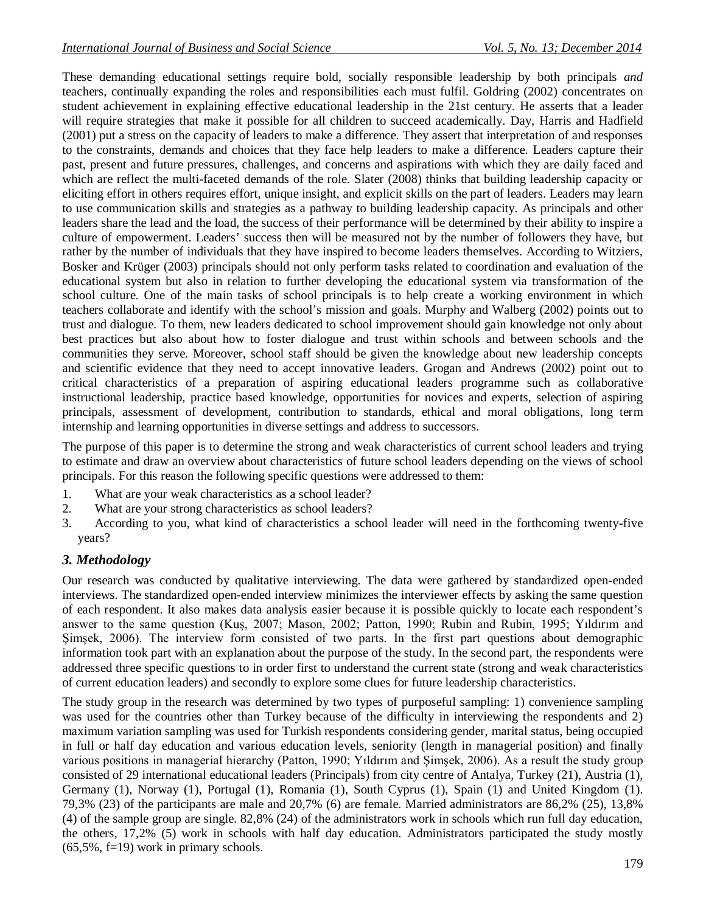These demanding educational settings require bold, socially responsible leadership by both principals *and*  teachers, continually expanding the roles and responsibilities each must fulfil. Goldring (2002) concentrates on student achievement in explaining effective educational leadership in the 21st century. He asserts that a leader will require strategies that make it possible for all children to succeed academically. Day, Harris and Hadfield (2001) put a stress on the capacity of leaders to make a difference. They assert that interpretation of and responses to the constraints, demands and choices that they face help leaders to make a difference. Leaders capture their past, present and future pressures, challenges, and concerns and aspirations with which they are daily faced and which are reflect the multi-faceted demands of the role. Slater (2008) thinks that building leadership capacity or eliciting effort in others requires effort, unique insight, and explicit skills on the part of leaders. Leaders may learn to use communication skills and strategies as a pathway to building leadership capacity. As principals and other leaders share the lead and the load, the success of their performance will be determined by their ability to inspire a culture of empowerment. Leaders' success then will be measured not by the number of followers they have, but rather by the number of individuals that they have inspired to become leaders themselves. According to Witziers, Bosker and Krüger (2003) principals should not only perform tasks related to coordination and evaluation of the educational system but also in relation to further developing the educational system via transformation of the school culture. One of the main tasks of school principals is to help create a working environment in which teachers collaborate and identify with the school's mission and goals. Murphy and Walberg (2002) points out to trust and dialogue. To them, new leaders dedicated to school improvement should gain knowledge not only about best practices but also about how to foster dialogue and trust within schools and between schools and the communities they serve. Moreover, school staff should be given the knowledge about new leadership concepts and scientific evidence that they need to accept innovative leaders. Grogan and Andrews (2002) point out to critical characteristics of a preparation of aspiring educational leaders programme such as collaborative instructional leadership, practice based knowledge, opportunities for novices and experts, selection of aspiring principals, assessment of development, contribution to standards, ethical and moral obligations, long term internship and learning opportunities in diverse settings and address to successors.

The purpose of this paper is to determine the strong and weak characteristics of current school leaders and trying to estimate and draw an overview about characteristics of future school leaders depending on the views of school principals. For this reason the following specific questions were addressed to them:

- 1. What are your weak characteristics as a school leader?
- 2. What are your strong characteristics as school leaders?
- 3. According to you, what kind of characteristics a school leader will need in the forthcoming twenty-five years?

## *3. Methodology*

Our research was conducted by qualitative interviewing. The data were gathered by standardized open-ended interviews. The standardized open-ended interview minimizes the interviewer effects by asking the same question of each respondent. It also makes data analysis easier because it is possible quickly to locate each respondent's answer to the same question (Kuş, 2007; Mason, 2002; Patton, 1990; Rubin and Rubin, 1995; Yıldırım and Şimşek, 2006). The interview form consisted of two parts. In the first part questions about demographic information took part with an explanation about the purpose of the study. In the second part, the respondents were addressed three specific questions to in order first to understand the current state (strong and weak characteristics of current education leaders) and secondly to explore some clues for future leadership characteristics.

The study group in the research was determined by two types of purposeful sampling: 1) convenience sampling was used for the countries other than Turkey because of the difficulty in interviewing the respondents and 2) maximum variation sampling was used for Turkish respondents considering gender, marital status, being occupied in full or half day education and various education levels, seniority (length in managerial position) and finally various positions in managerial hierarchy (Patton, 1990; Yıldırım and Şimşek, 2006). As a result the study group consisted of 29 international educational leaders (Principals) from city centre of Antalya, Turkey (21), Austria (1), Germany (1), Norway (1), Portugal (1), Romania (1), South Cyprus (1), Spain (1) and United Kingdom (1). 79,3% (23) of the participants are male and 20,7% (6) are female. Married administrators are 86,2% (25), 13,8% (4) of the sample group are single. 82,8% (24) of the administrators work in schools which run full day education, the others, 17,2% (5) work in schools with half day education. Administrators participated the study mostly (65,5%, f=19) work in primary schools.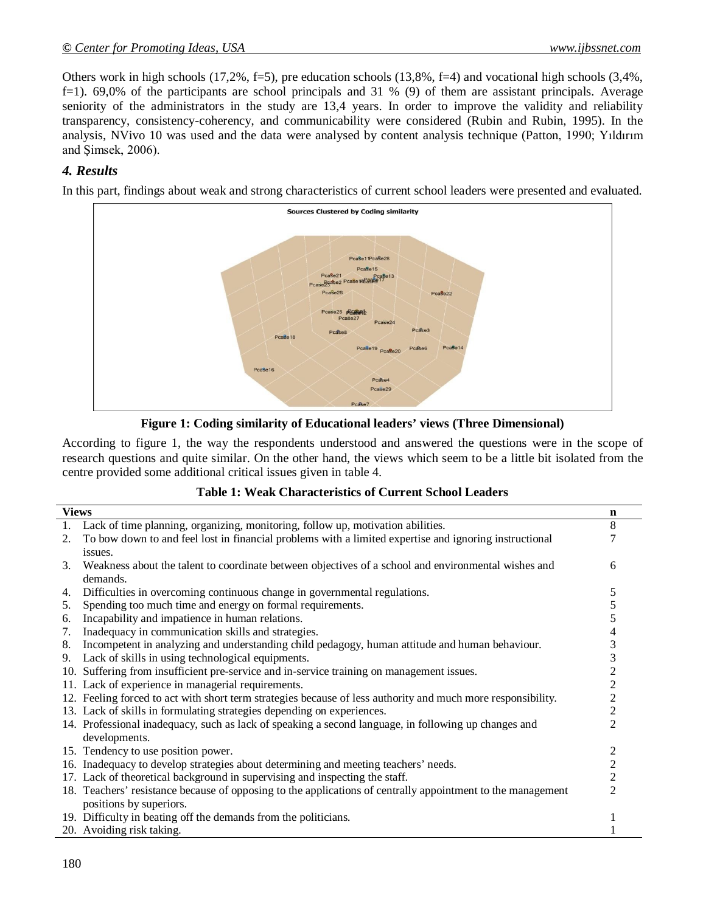Others work in high schools (17,2%, f=5), pre education schools (13,8%, f=4) and vocational high schools (3,4%, f=1). 69,0% of the participants are school principals and 31 % (9) of them are assistant principals. Average seniority of the administrators in the study are 13,4 years. In order to improve the validity and reliability transparency, consistency-coherency, and communicability were considered (Rubin and Rubin, 1995). In the analysis, NVivo 10 was used and the data were analysed by content analysis technique (Patton, 1990; Yıldırım and Şimsek, 2006).

## *4. Results*

In this part, findings about weak and strong characteristics of current school leaders were presented and evaluated.



**Figure 1: Coding similarity of Educational leaders' views (Three Dimensional)**

According to figure 1, the way the respondents understood and answered the questions were in the scope of research questions and quite similar. On the other hand, the views which seem to be a little bit isolated from the centre provided some additional critical issues given in table 4.

#### **Table 1: Weak Characteristics of Current School Leaders**

| <b>Views</b> |                                                                                                              | n              |
|--------------|--------------------------------------------------------------------------------------------------------------|----------------|
| 1.           | Lack of time planning, organizing, monitoring, follow up, motivation abilities.                              | 8              |
| 2.           | To bow down to and feel lost in financial problems with a limited expertise and ignoring instructional       |                |
|              | issues.                                                                                                      |                |
| 3.           | Weakness about the talent to coordinate between objectives of a school and environmental wishes and          | 6              |
|              | demands.                                                                                                     |                |
| 4.           | Difficulties in overcoming continuous change in governmental regulations.                                    | 5              |
| 5.           | Spending too much time and energy on formal requirements.                                                    | 5              |
| 6.           | Incapability and impatience in human relations.                                                              | 5              |
| 7.           | Inadequacy in communication skills and strategies.                                                           |                |
| 8.           | Incompetent in analyzing and understanding child pedagogy, human attitude and human behaviour.               | 3              |
| 9.           | Lack of skills in using technological equipments.                                                            | 3              |
|              | 10. Suffering from insufficient pre-service and in-service training on management issues.                    | $\overline{c}$ |
|              | 11. Lack of experience in managerial requirements.                                                           | $\overline{c}$ |
|              | 12. Feeling forced to act with short term strategies because of less authority and much more responsibility. | $\overline{c}$ |
|              | 13. Lack of skills in formulating strategies depending on experiences.                                       | $\overline{c}$ |
|              | 14. Professional inadequacy, such as lack of speaking a second language, in following up changes and         | $\overline{2}$ |
|              | developments.                                                                                                |                |
|              | 15. Tendency to use position power.                                                                          | 2              |
|              | 16. Inadequacy to develop strategies about determining and meeting teachers' needs.                          | $\overline{c}$ |
|              | 17. Lack of theoretical background in supervising and inspecting the staff.                                  | $\overline{c}$ |
|              | 18. Teachers' resistance because of opposing to the applications of centrally appointment to the management  | 2              |
|              | positions by superiors.                                                                                      |                |
|              | 19. Difficulty in beating off the demands from the politicians.                                              |                |
|              | 20. Avoiding risk taking.                                                                                    |                |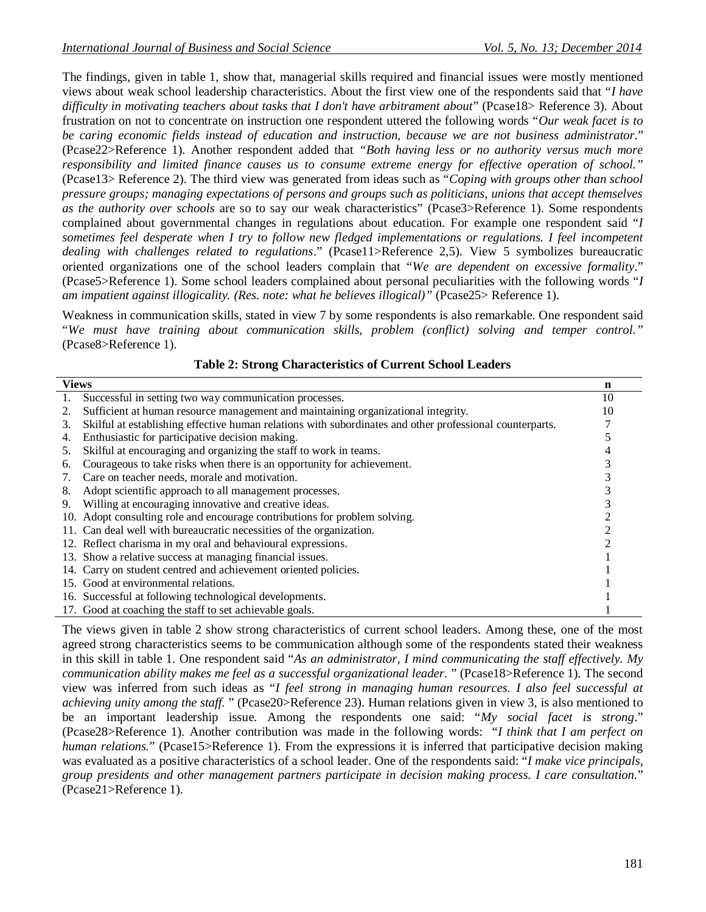The findings, given in table 1, show that, managerial skills required and financial issues were mostly mentioned views about weak school leadership characteristics. About the first view one of the respondents said that "*I have difficulty in motivating teachers about tasks that I don't have arbitrament about*" (Pcase18> Reference 3). About frustration on not to concentrate on instruction one respondent uttered the following words "*Our weak facet is to be caring economic fields instead of education and instruction, because we are not business administrator*." (Pcase22>Reference 1). Another respondent added that *"Both having less or no authority versus much more responsibility and limited finance causes us to consume extreme energy for effective operation of school."*  (Pcase13> Reference 2). The third view was generated from ideas such as "*Coping with groups other than school pressure groups; managing expectations of persons and groups such as politicians, unions that accept themselves as the authority over schools* are so to say our weak characteristics" (Pcase3>Reference 1). Some respondents complained about governmental changes in regulations about education. For example one respondent said "*I sometimes feel desperate when I try to follow new fledged implementations or regulations. I feel incompetent dealing with challenges related to regulations*." (Pcase11>Reference 2,5). View 5 symbolizes bureaucratic oriented organizations one of the school leaders complain that "*We are dependent on excessive formality*." (Pcase5>Reference 1). Some school leaders complained about personal peculiarities with the following words "*I am impatient against illogicality. (Res. note: what he believes illogical)"* (Pcase25> Reference 1).

Weakness in communication skills, stated in view 7 by some respondents is also remarkable. One respondent said "*We must have training about communication skills, problem (conflict) solving and temper control."* (Pcase8>Reference 1).

| <b>Views</b> |                                                                                                          | n  |
|--------------|----------------------------------------------------------------------------------------------------------|----|
|              | Successful in setting two way communication processes.                                                   | 10 |
|              | Sufficient at human resource management and maintaining organizational integrity.                        | 10 |
| 3.           | Skilful at establishing effective human relations with subordinates and other professional counterparts. |    |
| 4.           | Enthusiastic for participative decision making.                                                          |    |
| 5.           | Skilful at encouraging and organizing the staff to work in teams.                                        |    |
| 6.           | Courageous to take risks when there is an opportunity for achievement.                                   |    |
|              | Care on teacher needs, morale and motivation.                                                            |    |
| 8.           | Adopt scientific approach to all management processes.                                                   |    |
| 9.           | Willing at encouraging innovative and creative ideas.                                                    |    |
|              | 10. Adopt consulting role and encourage contributions for problem solving.                               |    |
|              | 11. Can deal well with bureaucratic necessities of the organization.                                     |    |
|              | 12. Reflect charisma in my oral and behavioural expressions.                                             |    |
|              | 13. Show a relative success at managing financial issues.                                                |    |
|              | 14. Carry on student centred and achievement oriented policies.                                          |    |
|              | 15. Good at environmental relations.                                                                     |    |
|              | 16. Successful at following technological developments.                                                  |    |
|              | 17. Good at coaching the staff to set achievable goals.                                                  |    |

#### **Table 2: Strong Characteristics of Current School Leaders**

The views given in table 2 show strong characteristics of current school leaders. Among these, one of the most agreed strong characteristics seems to be communication although some of the respondents stated their weakness in this skill in table 1. One respondent said "*As an administrator, I mind communicating the staff effectively. My communication ability makes me feel as a successful organizational leader.* " (Pcase18>Reference 1). The second view was inferred from such ideas as "*I feel strong in managing human resources. I also feel successful at achieving unity among the staff.* " (Pcase20>Reference 23). Human relations given in view 3, is also mentioned to be an important leadership issue. Among the respondents one said: "*My social facet is strong*." (Pcase28>Reference 1). Another contribution was made in the following words: "*I think that I am perfect on human relations.*" (Pcase15>Reference 1). From the expressions it is inferred that participative decision making was evaluated as a positive characteristics of a school leader. One of the respondents said: "*I make vice principals, group presidents and other management partners participate in decision making process. I care consultation.*" (Pcase21>Reference 1).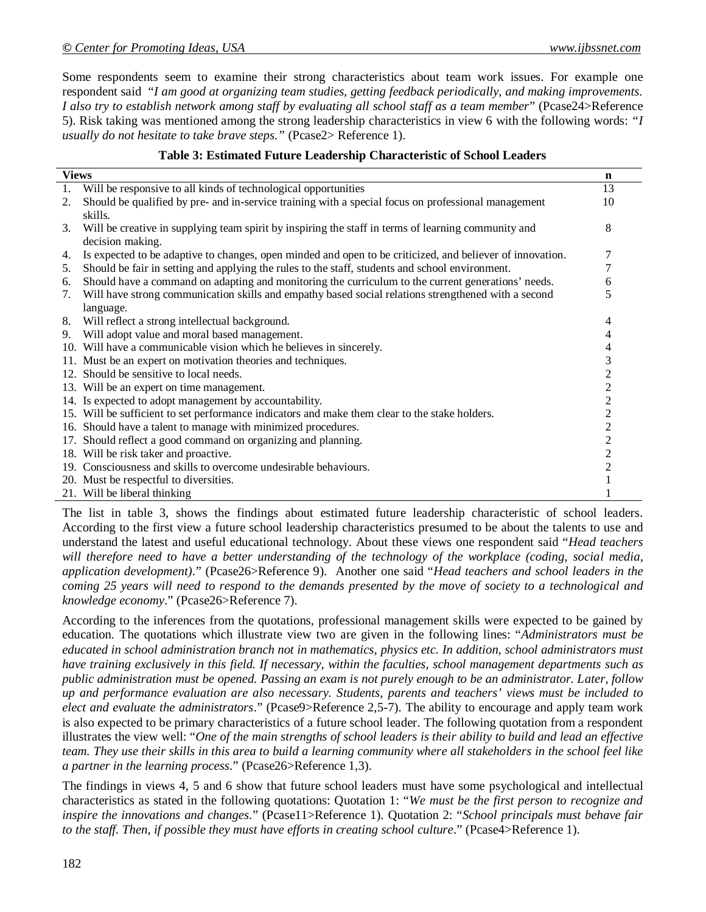Some respondents seem to examine their strong characteristics about team work issues. For example one respondent said "*I am good at organizing team studies, getting feedback periodically, and making improvements. I also try to establish network among staff by evaluating all school staff as a team member*" (Pcase24>Reference 5). Risk taking was mentioned among the strong leadership characteristics in view 6 with the following words: *"I usually do not hesitate to take brave steps."* (Pcase2> Reference 1).

#### **Table 3: Estimated Future Leadership Characteristic of School Leaders**

| <b>Views</b> |                                                                                                           | $\mathbf n$      |
|--------------|-----------------------------------------------------------------------------------------------------------|------------------|
| 1.           | Will be responsive to all kinds of technological opportunities                                            | 13               |
| 2.           | Should be qualified by pre- and in-service training with a special focus on professional management       | 10               |
|              | skills.                                                                                                   |                  |
| 3.           | Will be creative in supplying team spirit by inspiring the staff in terms of learning community and       | 8                |
|              | decision making.                                                                                          |                  |
| 4.           | Is expected to be adaptive to changes, open minded and open to be criticized, and believer of innovation. | 7                |
| 5.           | Should be fair in setting and applying the rules to the staff, students and school environment.           | 7                |
| 6.           | Should have a command on adapting and monitoring the curriculum to the current generations' needs.        | 6                |
| 7.           | Will have strong communication skills and empathy based social relations strengthened with a second       | 5                |
|              | language.                                                                                                 |                  |
| 8.           | Will reflect a strong intellectual background.                                                            | 4                |
| 9.           | Will adopt value and moral based management.                                                              | 4                |
|              | 10. Will have a communicable vision which he believes in sincerely.                                       | 4                |
|              | 11. Must be an expert on motivation theories and techniques.                                              | 3                |
|              | 12. Should be sensitive to local needs.                                                                   | $\overline{c}$   |
|              | 13. Will be an expert on time management.                                                                 | $\overline{c}$   |
|              | 14. Is expected to adopt management by accountability.                                                    | $\overline{2}$   |
|              | 15. Will be sufficient to set performance indicators and make them clear to the stake holders.            | $\overline{c}$   |
|              | 16. Should have a talent to manage with minimized procedures.                                             | $\boldsymbol{2}$ |
|              | 17. Should reflect a good command on organizing and planning.                                             | $\overline{c}$   |
|              | 18. Will be risk taker and proactive.                                                                     | $\overline{2}$   |
|              | 19. Consciousness and skills to overcome undesirable behaviours.                                          | $\overline{2}$   |
|              | 20. Must be respectful to diversities.                                                                    |                  |
|              | 21. Will be liberal thinking                                                                              |                  |

The list in table 3, shows the findings about estimated future leadership characteristic of school leaders. According to the first view a future school leadership characteristics presumed to be about the talents to use and understand the latest and useful educational technology. About these views one respondent said "*Head teachers*  will therefore need to have a better understanding of the technology of the workplace (coding, social media, *application development).*" (Pcase26>Reference 9). Another one said "*Head teachers and school leaders in the coming 25 years will need to respond to the demands presented by the move of society to a technological and knowledge economy*." (Pcase26>Reference 7).

According to the inferences from the quotations, professional management skills were expected to be gained by education. The quotations which illustrate view two are given in the following lines: "*Administrators must be educated in school administration branch not in mathematics, physics etc. In addition, school administrators must have training exclusively in this field. If necessary, within the faculties, school management departments such as public administration must be opened. Passing an exam is not purely enough to be an administrator. Later, follow up and performance evaluation are also necessary. Students, parents and teachers' views must be included to elect and evaluate the administrators*." (Pcase9>Reference 2,5-7). The ability to encourage and apply team work is also expected to be primary characteristics of a future school leader. The following quotation from a respondent illustrates the view well: "*One of the main strengths of school leaders is their ability to build and lead an effective team. They use their skills in this area to build a learning community where all stakeholders in the school feel like a partner in the learning process.*" (Pcase26>Reference 1,3).

The findings in views 4, 5 and 6 show that future school leaders must have some psychological and intellectual characteristics as stated in the following quotations: Quotation 1: "*We must be the first person to recognize and inspire the innovations and changes.*" (Pcase11>Reference 1). Quotation 2: "*School principals must behave fair to the staff. Then, if possible they must have efforts in creating school culture.*" (Pcase4>Reference 1).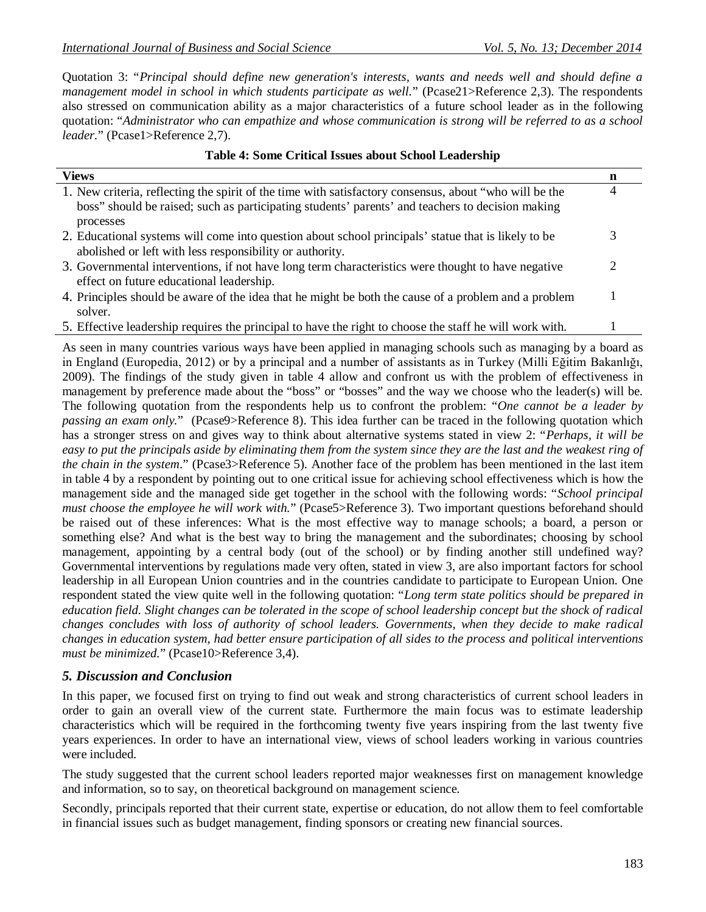Quotation 3: "*Principal should define new generation's interests, wants and needs well and should define a management model in school in which students participate as well.*" (Pcase21>Reference 2,3). The respondents also stressed on communication ability as a major characteristics of a future school leader as in the following quotation: "*Administrator who can empathize and whose communication is strong will be referred to as a school leader.*" (Pcase1>Reference 2,7).

| <b>Views</b>                                                                                                                                                                                               | n |
|------------------------------------------------------------------------------------------------------------------------------------------------------------------------------------------------------------|---|
| 1. New criteria, reflecting the spirit of the time with satisfactory consensus, about "who will be the<br>boss" should be raised; such as participating students' parents' and teachers to decision making | 4 |
| processes<br>2. Educational systems will come into question about school principals' statue that is likely to be<br>abolished or left with less responsibility or authority.                               |   |
| 3. Governmental interventions, if not have long term characteristics were thought to have negative<br>effect on future educational leadership.                                                             | ി |
| 4. Principles should be aware of the idea that he might be both the cause of a problem and a problem<br>solver.                                                                                            |   |
| 5. Effective leadership requires the principal to have the right to choose the staff he will work with.                                                                                                    |   |

#### **Table 4: Some Critical Issues about School Leadership**

As seen in many countries various ways have been applied in managing schools such as managing by a board as in England (Europedia, 2012) or by a principal and a number of assistants as in Turkey (Milli Eğitim Bakanlığı, 2009). The findings of the study given in table 4 allow and confront us with the problem of effectiveness in management by preference made about the "boss" or "bosses" and the way we choose who the leader(s) will be. The following quotation from the respondents help us to confront the problem: "*One cannot be a leader by passing an exam only.*" (Pcase9>Reference 8). This idea further can be traced in the following quotation which has a stronger stress on and gives way to think about alternative systems stated in view 2: "*Perhaps, it will be easy to put the principals aside by eliminating them from the system since they are the last and the weakest ring of the chain in the system*." (Pcase3>Reference 5). Another face of the problem has been mentioned in the last item in table 4 by a respondent by pointing out to one critical issue for achieving school effectiveness which is how the management side and the managed side get together in the school with the following words: "*School principal must choose the employee he will work with.*" (Pcase5>Reference 3). Two important questions beforehand should be raised out of these inferences: What is the most effective way to manage schools; a board, a person or something else? And what is the best way to bring the management and the subordinates; choosing by school management, appointing by a central body (out of the school) or by finding another still undefined way? Governmental interventions by regulations made very often, stated in view 3, are also important factors for school leadership in all European Union countries and in the countries candidate to participate to European Union. One respondent stated the view quite well in the following quotation: "*Long term state politics should be prepared in education field. Slight changes can be tolerated in the scope of school leadership concept but the shock of radical changes concludes with loss of authority of school leaders. Governments, when they decide to make radical changes in education system, had better ensure participation of all sides to the process and* p*olitical interventions must be minimized.*" (Pcase10>Reference 3,4).

### *5. Discussion and Conclusion*

In this paper, we focused first on trying to find out weak and strong characteristics of current school leaders in order to gain an overall view of the current state. Furthermore the main focus was to estimate leadership characteristics which will be required in the forthcoming twenty five years inspiring from the last twenty five years experiences. In order to have an international view, views of school leaders working in various countries were included.

The study suggested that the current school leaders reported major weaknesses first on management knowledge and information, so to say, on theoretical background on management science.

Secondly, principals reported that their current state, expertise or education, do not allow them to feel comfortable in financial issues such as budget management, finding sponsors or creating new financial sources.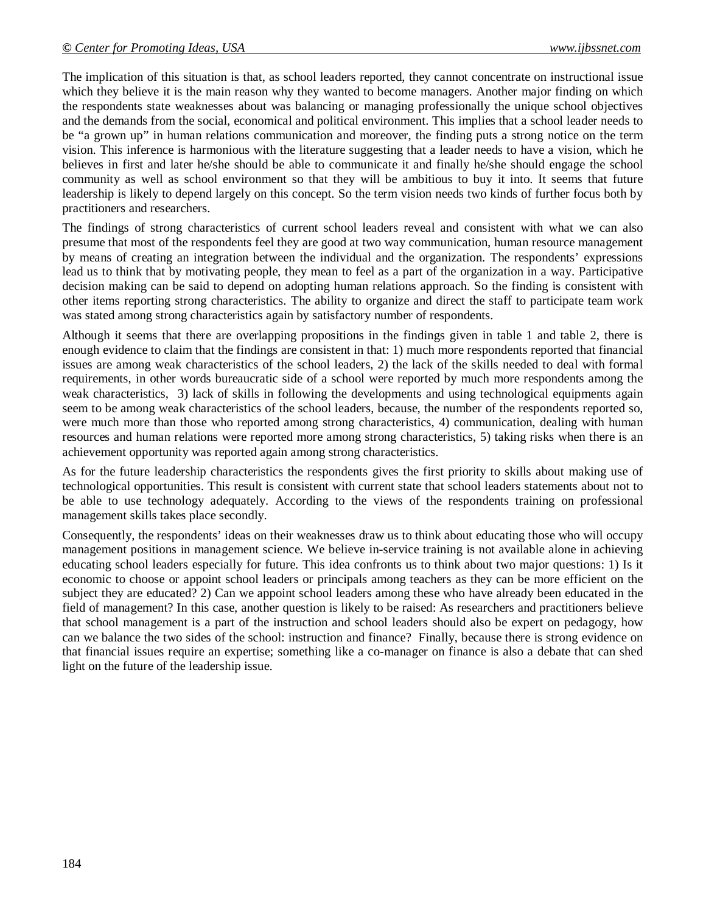The implication of this situation is that, as school leaders reported, they cannot concentrate on instructional issue which they believe it is the main reason why they wanted to become managers. Another major finding on which the respondents state weaknesses about was balancing or managing professionally the unique school objectives and the demands from the social, economical and political environment. This implies that a school leader needs to be "a grown up" in human relations communication and moreover, the finding puts a strong notice on the term vision. This inference is harmonious with the literature suggesting that a leader needs to have a vision, which he believes in first and later he/she should be able to communicate it and finally he/she should engage the school community as well as school environment so that they will be ambitious to buy it into. It seems that future leadership is likely to depend largely on this concept. So the term vision needs two kinds of further focus both by practitioners and researchers.

The findings of strong characteristics of current school leaders reveal and consistent with what we can also presume that most of the respondents feel they are good at two way communication, human resource management by means of creating an integration between the individual and the organization. The respondents' expressions lead us to think that by motivating people, they mean to feel as a part of the organization in a way. Participative decision making can be said to depend on adopting human relations approach. So the finding is consistent with other items reporting strong characteristics. The ability to organize and direct the staff to participate team work was stated among strong characteristics again by satisfactory number of respondents.

Although it seems that there are overlapping propositions in the findings given in table 1 and table 2, there is enough evidence to claim that the findings are consistent in that: 1) much more respondents reported that financial issues are among weak characteristics of the school leaders, 2) the lack of the skills needed to deal with formal requirements, in other words bureaucratic side of a school were reported by much more respondents among the weak characteristics, 3) lack of skills in following the developments and using technological equipments again seem to be among weak characteristics of the school leaders, because, the number of the respondents reported so, were much more than those who reported among strong characteristics, 4) communication, dealing with human resources and human relations were reported more among strong characteristics, 5) taking risks when there is an achievement opportunity was reported again among strong characteristics.

As for the future leadership characteristics the respondents gives the first priority to skills about making use of technological opportunities. This result is consistent with current state that school leaders statements about not to be able to use technology adequately. According to the views of the respondents training on professional management skills takes place secondly.

Consequently, the respondents' ideas on their weaknesses draw us to think about educating those who will occupy management positions in management science. We believe in-service training is not available alone in achieving educating school leaders especially for future. This idea confronts us to think about two major questions: 1) Is it economic to choose or appoint school leaders or principals among teachers as they can be more efficient on the subject they are educated? 2) Can we appoint school leaders among these who have already been educated in the field of management? In this case, another question is likely to be raised: As researchers and practitioners believe that school management is a part of the instruction and school leaders should also be expert on pedagogy, how can we balance the two sides of the school: instruction and finance? Finally, because there is strong evidence on that financial issues require an expertise; something like a co-manager on finance is also a debate that can shed light on the future of the leadership issue.